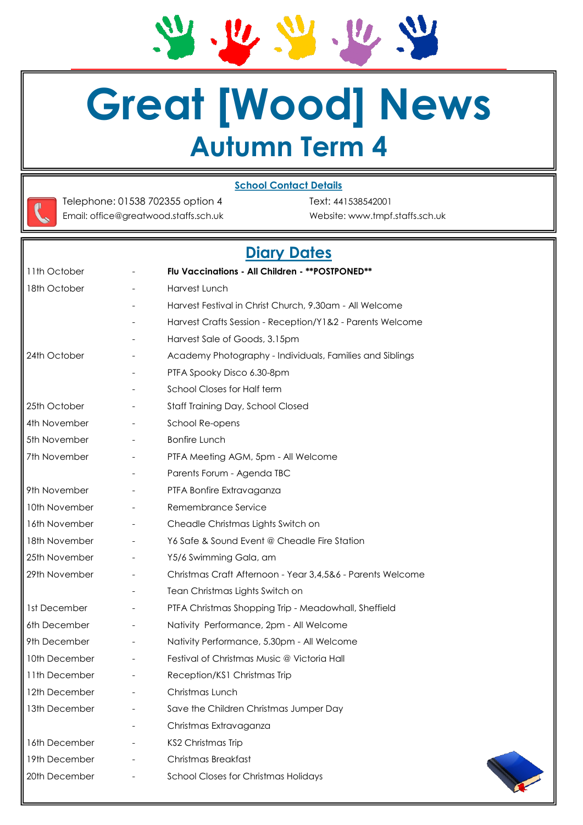Ju su  $\boldsymbol{w}, \boldsymbol{w}, \boldsymbol{w}$ 

# **Great [Wood] News Autumn Term 4**

#### **School Contact Details**



Telephone: 01538 702355 option 4 Text: 441538542001 Email: office@greatwood.staffs.sch.uk Website: www.tmpf.staffs.sch.uk

# **Diary Dates**

| 11th October  |                          | Flu Vaccinations - All Children - ** POSTPONED**           |
|---------------|--------------------------|------------------------------------------------------------|
| 18th October  |                          | Harvest Lunch                                              |
|               |                          | Harvest Festival in Christ Church, 9.30am - All Welcome    |
|               |                          | Harvest Crafts Session - Reception/Y1&2 - Parents Welcome  |
|               |                          | Harvest Sale of Goods, 3.15pm                              |
| 24th October  |                          | Academy Photography - Individuals, Families and Siblings   |
|               |                          | PTFA Spooky Disco 6.30-8pm                                 |
|               |                          | School Closes for Half term                                |
| 25th October  |                          | Staff Training Day, School Closed                          |
| 4th November  |                          | School Re-opens                                            |
| 5th November  |                          | <b>Bonfire Lunch</b>                                       |
| 7th November  |                          | PTFA Meeting AGM, 5pm - All Welcome                        |
|               |                          | Parents Forum - Agenda TBC                                 |
| 9th November  |                          | PTFA Bonfire Extravaganza                                  |
| 10th November |                          | Remembrance Service                                        |
| 16th November |                          | Cheadle Christmas Lights Switch on                         |
| 18th November | $\overline{\phantom{a}}$ | Y6 Safe & Sound Event @ Cheadle Fire Station               |
| 25th November |                          | Y5/6 Swimming Gala, am                                     |
| 29th November |                          | Christmas Craft Afternoon - Year 3,4,5&6 - Parents Welcome |
|               |                          | Tean Christmas Lights Switch on                            |
| 1st December  |                          | PTFA Christmas Shopping Trip - Meadowhall, Sheffield       |
| 6th December  |                          | Nativity Performance, 2pm - All Welcome                    |
| 9th December  |                          | Nativity Performance, 5.30pm - All Welcome                 |
| 10th December |                          | Festival of Christmas Music @ Victoria Hall                |
| 11th December |                          | Reception/KS1 Christmas Trip                               |
| 12th December |                          | Christmas Lunch                                            |
| 13th December |                          | Save the Children Christmas Jumper Day                     |
|               |                          | Christmas Extravaganza                                     |
| 16th December |                          | KS2 Christmas Trip                                         |
| 19th December |                          | Christmas Breakfast                                        |
| 20th December |                          | School Closes for Christmas Holidays                       |
|               |                          |                                                            |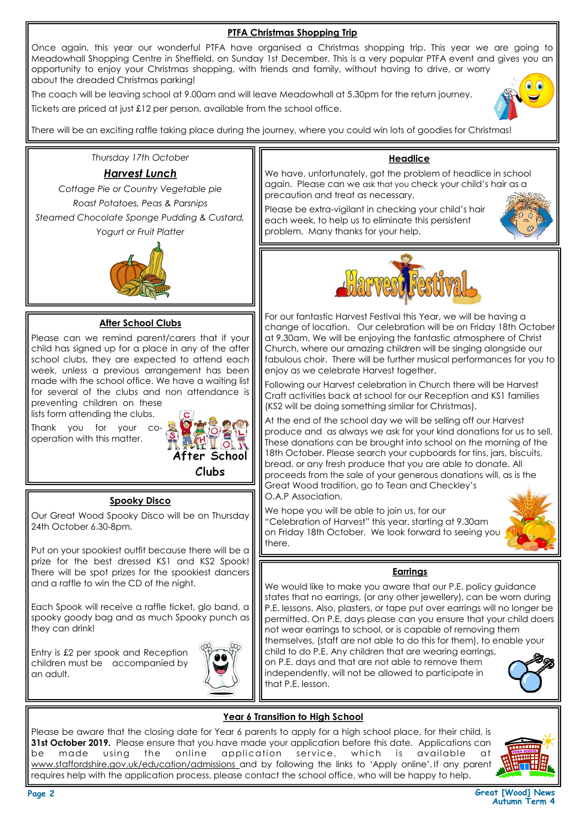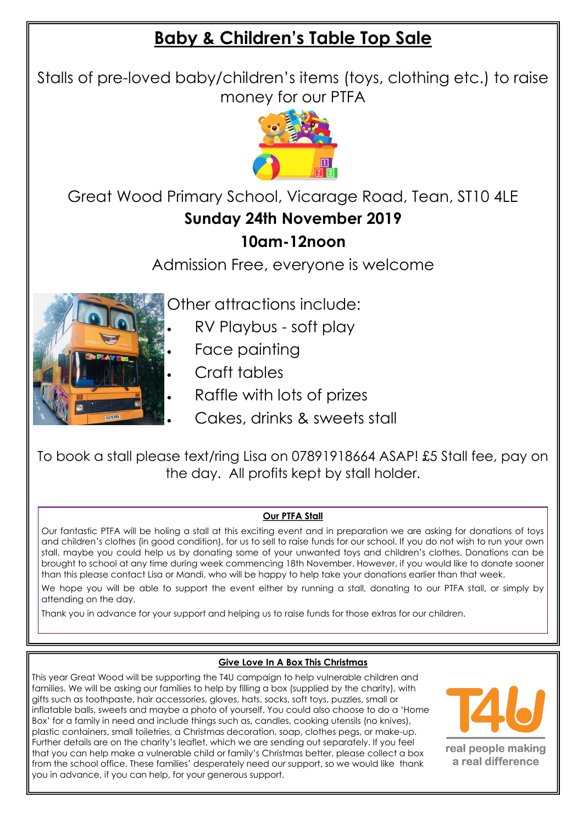# **Baby & Children's Table Top Sale**

Stalls of pre-loved baby/children's items (toys, clothing etc.) to raise money for our PTFA



Great Wood Primary School, Vicarage Road, Tean, ST10 4LE **Sunday 24th November 2019**

## **10am-12noon**

Admission Free, everyone is welcome

Other attractions include:

- RV Playbus soft play
- Face painting
- Craft tables
- Raffle with lots of prizes
- Cakes, drinks & sweets stall

To book a stall please text/ring Lisa on 07891918664 ASAP! £5 Stall fee, pay on the day. All profits kept by stall holder.

#### **Our PTFA Stall**

Our fantastic PTFA will be holing a stall at this exciting event and in preparation we are asking for donations of toys and children's clothes (in good condition), for us to sell to raise funds for our school. If you do not wish to run your own stall, maybe you could help us by donating some of your unwanted toys and children's clothes. Donations can be brought to school at any time during week commencing 18th November. However, if you would like to donate sooner than this please contact Lisa or Mandi, who will be happy to help take your donations earlier than that week.

We hope you will be able to support the event either by running a stall, donating to our PTFA stall, or simply by attending on the day.

Thank you in advance for your support and helping us to raise funds for those extras for our children.

#### **Give Love In A Box This Christmas**

This year Great Wood will be supporting the T4U campaign to help vulnerable children and families. We will be asking our families to help by filling a box (supplied by the charity), with gifts such as toothpaste, hair accessories, gloves, hats, socks, soft toys, puzzles, small or inflatable balls, sweets and maybe a photo of yourself. You could also choose to do a 'Home Box' for a family in need and include things such as, candles, cooking utensils (no knives), plastic containers, small toiletries, a Christmas decoration, soap, clothes pegs, or make-up. Further details are on the charity's leaflet, which we are sending out separately. If you feel that you can help make a vulnerable child or family's Christmas better, please collect a box from the school office. These families' desperately need our support, so we would like thank you in advance, if you can help, for your generous support.



real people making a real difference